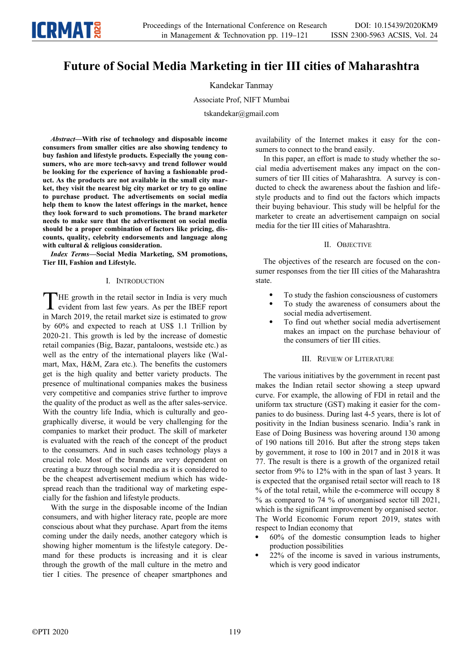# **Future of Social Media Marketing in tier III cities of Maharashtra**

Kandekar Tanmay

Associate Prof, NIFT Mumbai

tskandekar@gmail.com

*Abstract—***With rise of technology and disposable income consumers from smaller cities are also showing tendency to buy fashion and lifestyle products. Especially the young consumers, who are more tech-savvy and trend follower would be looking for the experience of having a fashionable product. As the products are not available in the small city market, they visit the nearest big city market or try to go online to purchase product. The advertisements on social media help them to know the latest offerings in the market, hence they look forward to such promotions. The brand marketer needs to make sure that the advertisement on social media should be a proper combination of factors like pricing, discounts, quality, celebrity endorsements and language along with cultural & religious consideration.** 

*Index Terms—***Social Media Marketing, SM promotions, Tier III, Fashion and Lifestyle.**

## I. INTRODUCTION

HE growth in the retail sector in India is very much evident from last few years. As per the IBEF report THE growth in the retail sector in India is very much evident from last few years. As per the IBEF report in March 2019, the retail market size is estimated to grow by 60% and expected to reach at US\$ 1.1 Trillion by 2020-21. This growth is led by the increase of domestic retail companies (Big, Bazar, pantaloons, westside etc.) as well as the entry of the international players like (Walmart, Max, H&M, Zara etc.). The benefits the customers get is the high quality and better variety products. The presence of multinational companies makes the business very competitive and companies strive further to improve the quality of the product as well as the after sales-service. With the country life India, which is culturally and geographically diverse, it would be very challenging for the companies to market their product. The skill of marketer is evaluated with the reach of the concept of the product to the consumers. And in such cases technology plays a crucial role. Most of the brands are very dependent on creating a buzz through social media as it is considered to be the cheapest advertisement medium which has widespread reach than the traditional way of marketing especially for the fashion and lifestyle products.

With the surge in the disposable income of the Indian consumers, and with higher literacy rate, people are more conscious about what they purchase. Apart from the items coming under the daily needs, another category which is showing higher momentum is the lifestyle category. Demand for these products is increasing and it is clear through the growth of the mall culture in the metro and tier I cities. The presence of cheaper smartphones and

availability of the Internet makes it easy for the consumers to connect to the brand easily.

In this paper, an effort is made to study whether the social media advertisement makes any impact on the consumers of tier III cities of Maharashtra. A survey is conducted to check the awareness about the fashion and lifestyle products and to find out the factors which impacts their buying behaviour. This study will be helpful for the marketer to create an advertisement campaign on social media for the tier III cities of Maharashtra.

## II. OBJECTIVE

The objectives of the research are focused on the consumer responses from the tier III cities of the Maharashtra state.

- To study the fashion consciousness of customers
- To study the awareness of consumers about the social media advertisement.
- To find out whether social media advertisement makes an impact on the purchase behaviour of the consumers of tier III cities.

## III. REVIEW OF LITERATURE

The various initiatives by the government in recent past makes the Indian retail sector showing a steep upward curve. For example, the allowing of FDI in retail and the uniform tax structure (GST) making it easier for the companies to do business. During last 4-5 years, there is lot of positivity in the Indian business scenario. India's rank in Ease of Doing Business was hovering around 130 among of 190 nations till 2016. But after the strong steps taken by government, it rose to 100 in 2017 and in 2018 it was 77. The result is there is a growth of the organized retail sector from 9% to 12% with in the span of last 3 years. It is expected that the organised retail sector will reach to 18 % of the total retail, while the e-commerce will occupy 8 % as compared to 74 % of unorganised sector till 2021, which is the significant improvement by organised sector. The World Economic Forum report 2019, states with respect to Indian economy that

- 60% of the domestic consumption leads to higher production possibilities
- 22% of the income is saved in various instruments, which is very good indicator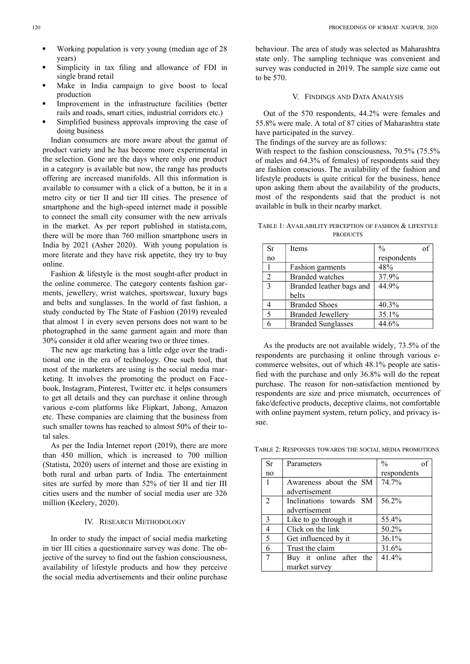- Working population is very young (median age of 28 years)
- Simplicity in tax filing and allowance of FDI in single brand retail
- Make in India campaign to give boost to local production
- Improvement in the infrastructure facilities (better rails and roads, smart cities, industrial corridors etc.)
- Simplified business approvals improving the ease of doing business

Indian consumers are more aware about the gamut of product variety and he has become more experimental in the selection. Gone are the days where only one product in a category is available but now, the range has products offering are increased manifolds. All this information is available to consumer with a click of a button, be it in a metro city or tier II and tier III cities. The presence of smartphone and the high-speed internet made it possible to connect the small city consumer with the new arrivals in the market. As per report published in statista.com, there will be more than 760 million smartphone users in India by 2021 (Asher 2020). With young population is more literate and they have risk appetite, they try to buy online.

Fashion & lifestyle is the most sought-after product in the online commerce. The category contents fashion garments, jewellery, wrist watches, sportswear, luxury bags and belts and sunglasses. In the world of fast fashion, a study conducted by The State of Fashion (2019) revealed that almost 1 in every seven persons does not want to be photographed in the same garment again and more than 30% consider it old after wearing two or three times.

The new age marketing has a little edge over the traditional one in the era of technology. One such tool, that most of the marketers are using is the social media marketing. It involves the promoting the product on Facebook, Instagram, Pinterest, Twitter etc. it helps consumers to get all details and they can purchase it online through various e-com platforms like Flipkart, Jabong, Amazon etc. These companies are claiming that the business from such smaller towns has reached to almost 50% of their total sales.

As per the India Internet report (2019), there are more than 450 million, which is increased to 700 million (Statista, 2020) users of internet and those are existing in both rural and urban parts of India. The entertainment sites are surfed by more than 52% of tier II and tier III cities users and the number of social media user are 326 million (Keelery, 2020).

### IV. RESEARCH METHODOLOGY

In order to study the impact of social media marketing in tier III cities a questionnaire survey was done. The objective of the survey to find out the fashion consciousness, availability of lifestyle products and how they perceive the social media advertisements and their online purchase behaviour. The area of study was selected as Maharashtra state only. The sampling technique was convenient and survey was conducted in 2019. The sample size came out to be 570.

#### V. FINDINGS AND DATA ANALYSIS

Out of the 570 respondents, 44.2% were females and 55.8% were male. A total of 87 cities of Maharashtra state have participated in the survey.

The findings of the survey are as follows:

With respect to the fashion consciousness, 70.5% (75.5% of males and 64.3% of females) of respondents said they are fashion conscious. The availability of the fashion and lifestyle products is quite critical for the business, hence upon asking them about the availability of the products, most of the respondents said that the product is not available in bulk in their nearby market.

TABLE 1: AVAILABILITY PERCEPTION OF FASHION & LIFESTYLE **PRODUCTS** 

| <b>Sr</b>               | Items                     | $\frac{0}{0}$ | of |
|-------------------------|---------------------------|---------------|----|
| no                      |                           | respondents   |    |
|                         | Fashion garments          | 48%           |    |
| $\overline{2}$          | <b>Branded</b> watches    | 37.9%         |    |
| $\overline{\mathbf{3}}$ | Branded leather bags and  | 44.9%         |    |
|                         | belts                     |               |    |
|                         | <b>Branded Shoes</b>      | 40.3%         |    |
| $\overline{5}$          | <b>Branded Jewellery</b>  | 35.1%         |    |
|                         | <b>Branded Sunglasses</b> | 44.6%         |    |

As the products are not available widely, 73.5% of the respondents are purchasing it online through various ecommerce websites, out of which 48.1% people are satisfied with the purchase and only 36.8% will do the repeat purchase. The reason for non-satisfaction mentioned by respondents are size and price mismatch, occurrences of fake/defective products, deceptive claims, not comfortable with online payment system, return policy, and privacy issue.

TABLE 2: RESPONSES TOWARDS THE SOCIAL MEDIA PROMOTIONS

| Sr             | Parameters              | $\frac{0}{0}$ |
|----------------|-------------------------|---------------|
| no             |                         | respondents   |
| 1              | Awareness about the SM  | 74.7%         |
|                | advertisement           |               |
| $\mathfrak{D}$ | Inclinations towards SM | 56.2%         |
|                | advertisement           |               |
| 3              | Like to go through it   | 55.4%         |
| 4              | Click on the link       | 50.2%         |
| 5              | Get influenced by it    | 36.1%         |
| 6              | Trust the claim         | 31.6%         |
|                | Buy it online after the | 41.4%         |
|                | market survey           |               |